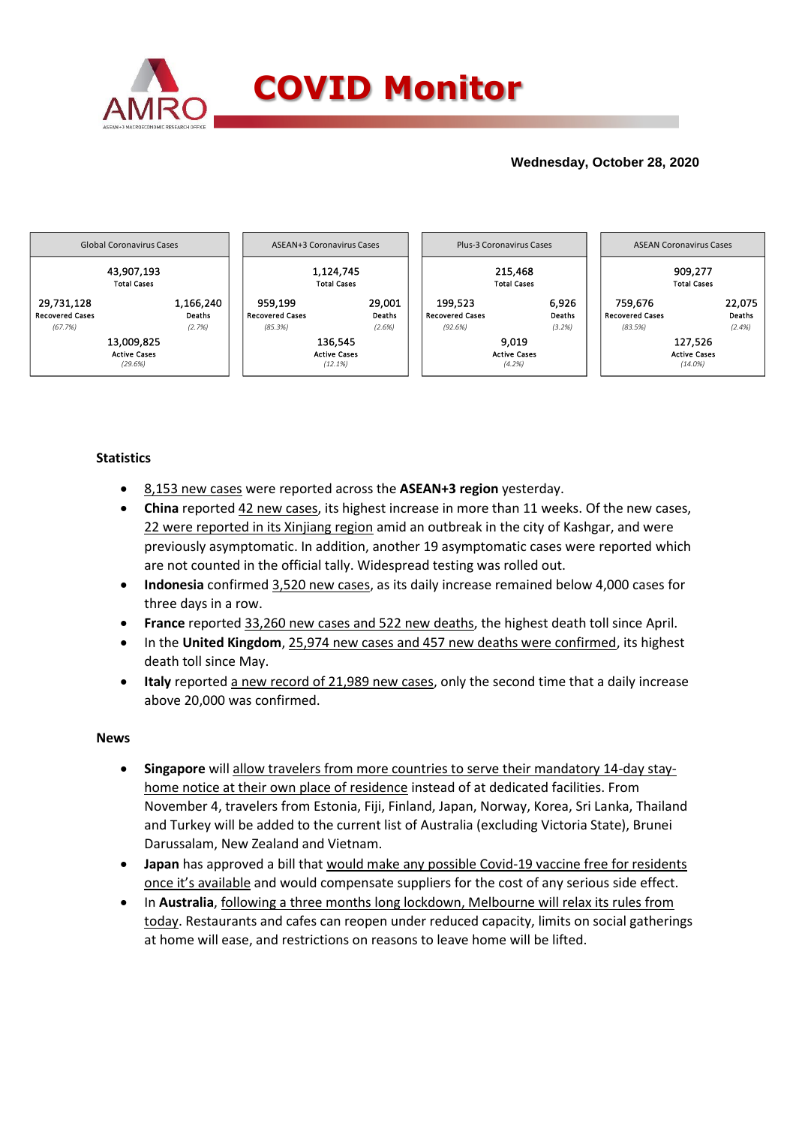

## **Wednesday, October 28, 2020**



### **Statistics**

- 8,153 new cases were reported across the **ASEAN+3 region** yesterday.
- **China** reported 42 new cases, its highest increase in more than 11 weeks. Of the new cases, 22 were reported in its Xinjiang region amid an outbreak in the city of Kashgar, and were previously asymptomatic. In addition, another 19 asymptomatic cases were reported which are not counted in the official tally. Widespread testing was rolled out.
- **Indonesia** confirmed 3,520 new cases, as its daily increase remained below 4,000 cases for three days in a row.
- **France** reported 33,260 new cases and 522 new deaths, the highest death toll since April.
- In the **United Kingdom**, 25,974 new cases and 457 new deaths were confirmed, its highest death toll since May.
- **Italy** reported a new record of 21,989 new cases, only the second time that a daily increase above 20,000 was confirmed.

### **News**

- **Singapore** will allow travelers from more countries to serve their mandatory 14-day stayhome notice at their own place of residence instead of at dedicated facilities. From November 4, travelers from Estonia, Fiji, Finland, Japan, Norway, Korea, Sri Lanka, Thailand and Turkey will be added to the current list of Australia (excluding Victoria State), Brunei Darussalam, New Zealand and Vietnam.
- **Japan** has approved a bill that would make any possible Covid-19 vaccine free for residents once it's available and would compensate suppliers for the cost of any serious side effect.
- In **Australia**, following a three months long lockdown, Melbourne will relax its rules from today. Restaurants and cafes can reopen under reduced capacity, limits on social gatherings at home will ease, and restrictions on reasons to leave home will be lifted.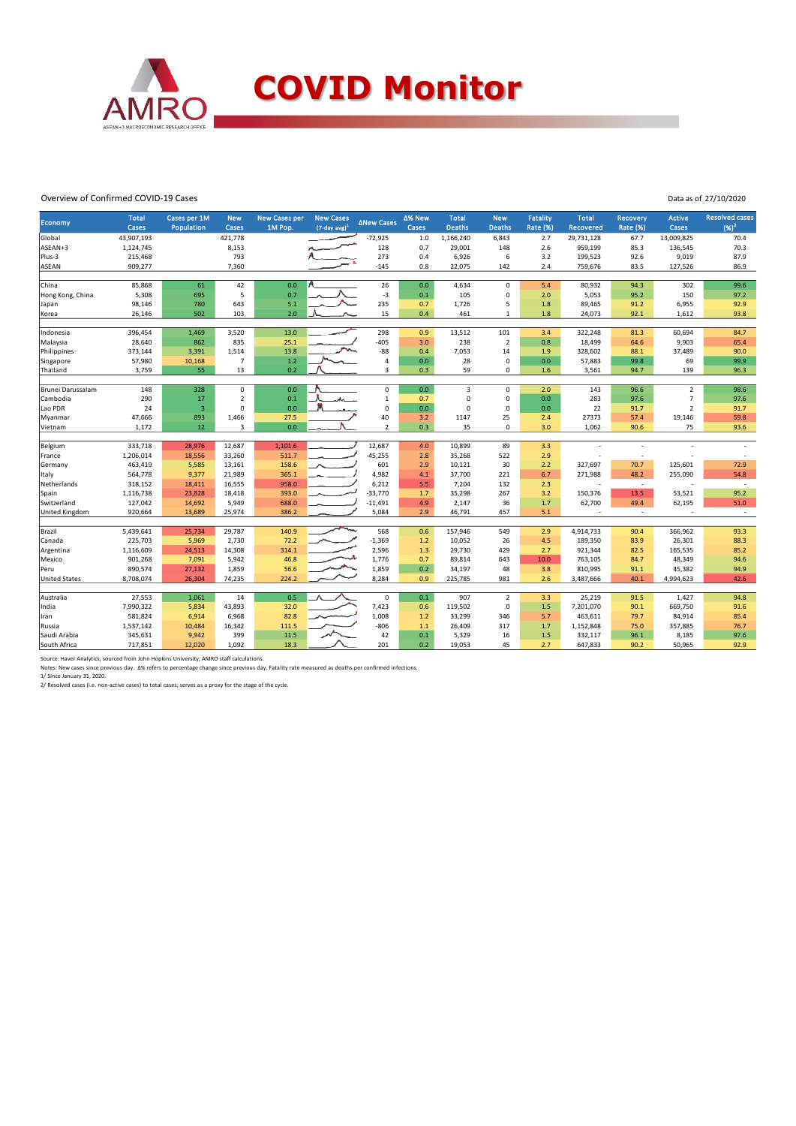

#### Overview of Confirmed COVID-19 Cases

| Data as of 27/10/2020 |  |  |
|-----------------------|--|--|
|                       |  |  |

|                      |                       |                            |                         |                          |                                         |                   |                 |                               |                             |                                    |                           |                                    |                          | <b>Resolved cases</b>    |
|----------------------|-----------------------|----------------------------|-------------------------|--------------------------|-----------------------------------------|-------------------|-----------------|-------------------------------|-----------------------------|------------------------------------|---------------------------|------------------------------------|--------------------------|--------------------------|
| Economy              | <b>Total</b><br>Cases | Cases per 1M<br>Population | <b>New</b><br>Cases     | New Cases per<br>1M Pop. | <b>New Cases</b><br>$(7$ -day avg $)^1$ | <b>ANew Cases</b> | Δ% New<br>Cases | <b>Total</b><br><b>Deaths</b> | <b>New</b><br><b>Deaths</b> | <b>Fatality</b><br><b>Rate (%)</b> | <b>Total</b><br>Recovered | <b>Recovery</b><br><b>Rate (%)</b> | <b>Active</b><br>Cases   | $(96)^2$                 |
| Global               | 43,907,193            |                            | 421,778                 |                          |                                         | $-72,925$         | 1.0             | 1,166,240                     | 6,843                       | 2.7                                | 29,731,128                | 67.7                               | 13,009,825               | 70.4                     |
| ASEAN+3              | 1,124,745             |                            | 8,153                   |                          |                                         | 128               | 0.7             | 29,001                        | 148                         | 2.6                                | 959,199                   | 85.3                               | 136,545                  | 70.3                     |
| Plus-3               | 215,468               |                            | 793                     |                          |                                         | 273               | 0.4             | 6,926                         | 6                           | 3.2                                | 199,523                   | 92.6                               | 9,019                    | 87.9                     |
| <b>ASEAN</b>         | 909,277               |                            | 7,360                   |                          |                                         | $-145$            | 0.8             | 22,075                        | 142                         | 2.4                                | 759,676                   | 83.5                               | 127,526                  | 86.9                     |
|                      |                       |                            |                         |                          |                                         |                   |                 |                               |                             |                                    |                           |                                    |                          |                          |
| China                | 85,868                | 61                         | 42                      | 0.0                      |                                         | 26                | 0.0             | 4,634                         | $\Omega$                    | 5.4                                | 80,932                    | 94.3                               | 302                      | 99.6                     |
| Hong Kong, China     | 5,308                 | 695                        | 5                       | 0.7                      |                                         | $-3$              | 0.1             | 105                           | 0                           | 2.0                                | 5,053                     | 95.2                               | 150                      | 97.2                     |
| Japan                | 98,146                | 780                        | 643                     | 5.1                      |                                         | 235               | 0.7             | 1,726                         | 5                           | 1.8                                | 89,465                    | 91.2                               | 6,955                    | 92.9                     |
| Korea                | 26,146                | 502                        | 103                     | 2.0                      |                                         | 15                | 0.4             | 461                           | $\mathbf{1}$                | 1.8                                | 24,073                    | 92.1                               | 1,612                    | 93.8                     |
|                      |                       |                            |                         |                          |                                         |                   |                 |                               |                             |                                    |                           |                                    |                          |                          |
| Indonesia            | 396,454               | 1,469                      | 3,520                   | 13.0                     |                                         | 298               | 0.9             | 13,512                        | 101                         | 3.4                                | 322,248                   | 81.3                               | 60,694                   | 84.7                     |
| Malaysia             | 28,640                | 862                        | 835                     | 25.1                     |                                         | $-405$            | 3.0             | 238                           | $\overline{2}$              | 0.8                                | 18,499                    | 64.6                               | 9,903                    | 65.4                     |
| Philippines          | 373,144               | 3,391                      | 1,514                   | 13.8                     |                                         | $-88$             | 0.4             | 7,053                         | 14                          | 1.9                                | 328,602                   | 88.1                               | 37,489                   | 90.0                     |
| Singapore            | 57,980                | 10,168                     | $\overline{7}$          | $1.2$                    |                                         | $\overline{4}$    | 0.0             | 28                            | $\mathsf{O}\xspace$         | 0.0                                | 57,883                    | 99.8                               | 69                       | 99.9                     |
| Thailand             | 3,759                 | 55                         | 13                      | 0.2                      |                                         | 3                 | 0.3             | 59                            | $\mathbf 0$                 | 1.6                                | 3,561                     | 94.7                               | 139                      | 96.3                     |
| Brunei Darussalam    | 148                   | 328                        | 0                       | 0.0                      |                                         | $\mathbf 0$       | 0.0             | 3                             | $\mathbf 0$                 | 2.0                                | 143                       | 96.6                               | $\overline{2}$           | 98.6                     |
| Cambodia             | 290                   | 17                         | $\overline{\mathbf{c}}$ | 0.1                      |                                         | $\mathbf{1}$      | 0.7             | $\mathbf 0$                   | 0                           | 0.0                                | 283                       | 97.6                               | $\overline{7}$           | 97.6                     |
| Lao PDR              | 24                    | $\overline{\mathbf{3}}$    | $\Omega$                | 0.0                      |                                         | $\mathbf 0$       | 0.0             | $\Omega$                      | $\mathbf 0$                 | 0.0                                | 22                        | 91.7                               | $\overline{2}$           | 91.7                     |
| Myanmar              | 47,666                | 893                        | 1,466                   | 27.5                     |                                         | 40                | 3.2             | 1147                          | 25                          | 2.4                                | 27373                     | 57.4                               | 19,146                   | 59.8                     |
| Vietnam              | 1,172                 | 12                         | 3                       | 0.0                      |                                         | $\overline{2}$    | 0.3             | 35                            | $\mathbf 0$                 | 3.0                                | 1,062                     | 90.6                               | 75                       | 93.6                     |
|                      |                       |                            |                         |                          |                                         |                   |                 |                               |                             |                                    |                           |                                    |                          |                          |
| Belgium              | 333,718               | 28,976                     | 12,687                  | 1,101.6                  |                                         | 12,687            | 4.0             | 10,899                        | 89                          | 3.3                                |                           | $\overline{\phantom{a}}$           |                          | $\sim$                   |
| France               | 1,206,014             | 18,556                     | 33,260                  | 511.7                    |                                         | $-45,255$         | 2.8             | 35,268                        | 522                         | 2.9                                |                           |                                    |                          |                          |
| Germany              | 463,419               | 5,585                      | 13,161                  | 158.6                    |                                         | 601               | 2.9             | 10,121                        | 30                          | 2.2                                | 327,697                   | 70.7                               | 125,601                  | 72.9                     |
| Italy                | 564,778               | 9,377                      | 21,989                  | 365.1                    |                                         | 4,982             | 4.1             | 37,700                        | 221                         | 6.7                                | 271,988                   | 48.2                               | 255,090                  | 54.8                     |
| Netherlands          | 318,152               | 18,411                     | 16,555                  | 958.0                    |                                         | 6,212             | 5.5             | 7,204                         | 132                         | 2.3                                |                           | $\sim$                             |                          | $\sim$                   |
| Spain                | 1,116,738             | 23,828                     | 18,418                  | 393.0                    |                                         | $-33,770$         | 1.7             | 35,298                        | 267                         | 3.2                                | 150,376                   | 13.5                               | 53,521                   | 95.2                     |
| Switzerland          | 127,042               | 14,692                     | 5,949                   | 688.0                    |                                         | $-11,491$         | 4.9             | 2,147                         | 36                          | 1.7                                | 62,700                    | 49.4                               | 62,195                   | 51.0                     |
| United Kingdom       | 920,664               | 13,689                     | 25,974                  | 386.2                    |                                         | 5,084             | 2.9             | 46,791                        | 457                         | 5.1                                | $\overline{\phantom{a}}$  | $\sim$                             | $\overline{\phantom{a}}$ | $\overline{\phantom{a}}$ |
|                      |                       |                            |                         |                          | ∽                                       |                   |                 |                               |                             |                                    |                           |                                    |                          |                          |
| Brazil               | 5,439,641             | 25,734                     | 29,787                  | 140.9                    |                                         | 568               | 0.6             | 157,946                       | 549                         | 2.9                                | 4,914,733                 | 90.4                               | 366,962                  | 93.3                     |
| Canada               | 225,703               | 5,969                      | 2,730                   | 72.2                     |                                         | $-1,369$          | 1.2             | 10,052                        | 26                          | 4.5                                | 189,350                   | 83.9                               | 26,301                   | 88.3                     |
| Argentina            | 1,116,609             | 24,513                     | 14,308                  | 314.1                    |                                         | 2,596             | 1.3             | 29,730                        | 429                         | 2.7                                | 921,344                   | 82.5                               | 165,535                  | 85.2                     |
| Mexico               | 901,268               | 7,091                      | 5,942                   | 46.8                     |                                         | 1,776             | 0.7             | 89,814                        | 643                         | 10.0                               | 763,105                   | 84.7                               | 48,349                   | 94.6                     |
| Peru                 | 890,574               | 27,132                     | 1,859                   | 56.6                     |                                         | 1,859             | 0.2             | 34,197                        | 48                          | 3.8                                | 810,995                   | 91.1                               | 45,382                   | 94.9                     |
| <b>United States</b> | 8,708,074             | 26,304                     | 74,235                  | 224.2                    |                                         | 8,284             | 0.9             | 225,785                       | 981                         | 2.6                                | 3,487,666                 | 40.1                               | 4,994,623                | 42.6                     |
| Australia            | 27,553                | 1,061                      | 14                      | 0.5                      |                                         | $\mathbf 0$       | 0.1             | 907                           | $\overline{2}$              | 3.3                                | 25,219                    | 91.5                               | 1,427                    | 94.8                     |
| India                | 7,990,322             | 5,834                      | 43,893                  | 32.0                     |                                         | 7,423             | 0.6             | 119,502                       | $\mathbf 0$                 | 1.5                                | 7,201,070                 | 90.1                               | 669,750                  | 91.6                     |
| Iran                 | 581,824               | 6,914                      | 6,968                   | 82.8                     |                                         | 1,008             | 1.2             | 33,299                        | 346                         | 5.7                                | 463,611                   | 79.7                               | 84,914                   | 85.4                     |
| Russia               | 1,537,142             | 10,484                     | 16,342                  | 111.5                    |                                         | $-806$            | $1.1$           | 26,409                        | 317                         | 1.7                                | 1,152,848                 | 75.0                               | 357,885                  | 76.7                     |
| Saudi Arabia         | 345,631               | 9,942                      | 399                     | 11.5                     |                                         | 42                | 0.1             | 5,329                         | 16                          | 1.5                                | 332,117                   | 96.1                               | 8,185                    | 97.6                     |
| South Africa         | 717,851               | 12,020                     | 1,092                   | 18.3                     |                                         | 201               | 0.2             | 19,053                        | 45                          | 2.7                                | 647,833                   | 90.2                               | 50,965                   | 92.9                     |
|                      |                       |                            |                         |                          |                                         |                   |                 |                               |                             |                                    |                           |                                    |                          |                          |

Source: Haver Analytics, sourced from John Hopkins University; AMRO staff calculations.<br>Notes: New cases since previous day. Δ% refers to percentage change since previous day. Fatality rate measured as deaths per confirme